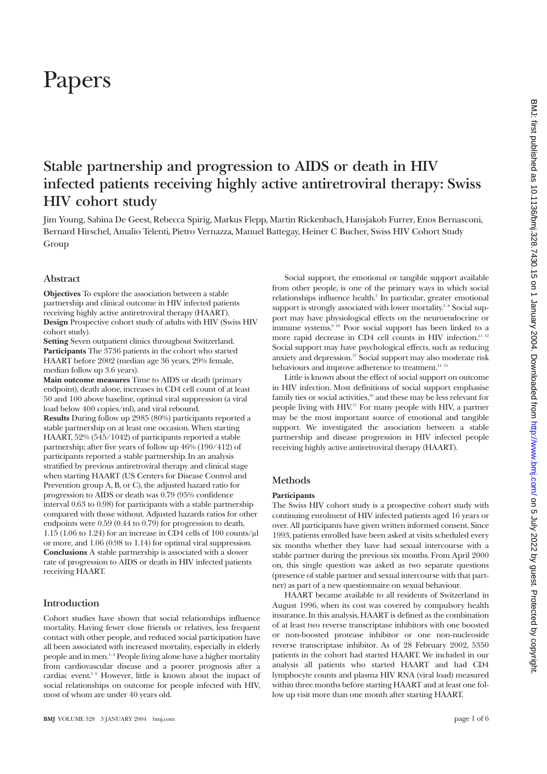BMJ: first published as 10.1136/bmj.328.7430.15 on 1 January 2004. Downloaded from http://www.bmj.com/ on 5 July 2022 by guest. Protected by copyright on 5 July 2022 by guest. Protected by copyright. <http://www.bmj.com/> BMJ: first published as 10.1136/bmj.328.7430.15 on 1 January 2004. Downloaded from

# Papers

# **Stable partnership and progression to AIDS or death in HIV infected patients receiving highly active antiretroviral therapy: Swiss HIV cohort study**

Jim Young, Sabina De Geest, Rebecca Spirig, Markus Flepp, Martin Rickenbach, Hansjakob Furrer, Enos Bernasconi, Bernard Hirschel, Amalio Telenti, Pietro Vernazza, Manuel Battegay, Heiner C Bucher, Swiss HIV Cohort Study Group

# **Abstract**

**Objectives** To explore the association between a stable partnership and clinical outcome in HIV infected patients receiving highly active antiretroviral therapy (HAART). **Design** Prospective cohort study of adults with HIV (Swiss HIV cohort study).

**Setting** Seven outpatient clinics throughout Switzerland. **Participants** The 3736 patients in the cohort who started HAART before 2002 (median age 36 years, 29% female, median follow up 3.6 years).

**Main outcome measures** Time to AIDS or death (primary endpoint), death alone, increases in CD4 cell count of at least 50 and 100 above baseline, optimal viral suppression (a viral load below 400 copies/ml), and viral rebound. **Results** During follow up 2985 (80%) participants reported a stable partnership on at least one occasion. When starting HAART, 52% (545/1042) of participants reported a stable partnership; after five years of follow up 46% (190/412) of participants reported a stable partnership. In an analysis stratified by previous antiretroviral therapy and clinical stage when starting HAART (US Centers for Disease Control and Prevention group A, B, or C), the adjusted hazard ratio for progression to AIDS or death was 0.79 (95% confidence interval 0.63 to 0.98) for participants with a stable partnership compared with those without. Adjusted hazards ratios for other endpoints were 0.59 (0.44 to 0.79) for progression to death, 1.15 (1.06 to 1.24) for an increase in CD4 cells of 100 counts/ $\mu$ l or more, and 1.06 (0.98 to 1.14) for optimal viral suppression. **Conclusions** A stable partnership is associated with a slower rate of progression to AIDS or death in HIV infected patients receiving HAART.

# **Introduction**

Cohort studies have shown that social relationships influence mortality. Having fewer close friends or relatives, less frequent contact with other people, and reduced social participation have all been associated with increased mortality, especially in elderly people and in men.1–4 People living alone have a higher mortality from cardiovascular disease and a poorer prognosis after a cardiac event.5 6 However, little is known about the impact of social relationships on outcome for people infected with HIV, most of whom are under 40 years old.

Social support, the emotional or tangible support available from other people, is one of the primary ways in which social relationships influence health.7 In particular, greater emotional support is strongly associated with lower mortality.<sup>3 8</sup> Social support may have physiological effects on the neuroendocrine or immune systems.<sup>9 10</sup> Poor social support has been linked to a more rapid decrease in CD4 cell counts in HIV infection.<sup>11 12</sup> Social support may have psychological effects, such as reducing anxiety and depression.13 Social support may also moderate risk behaviours and improve adherence to treatment.<sup>14 15</sup>

Little is known about the effect of social support on outcome in HIV infection. Most definitions of social support emphasise family ties or social activities,<sup>16</sup> and these may be less relevant for people living with HIV.17 For many people with HIV, a partner may be the most important source of emotional and tangible support. We investigated the association between a stable partnership and disease progression in HIV infected people receiving highly active antiretroviral therapy (HAART).

# **Methods**

#### **Participants**

The Swiss HIV cohort study is a prospective cohort study with continuing enrolment of HIV infected patients aged 16 years or over. All participants have given written informed consent. Since 1993, patients enrolled have been asked at visits scheduled every six months whether they have had sexual intercourse with a stable partner during the previous six months. From April 2000 on, this single question was asked as two separate questions (presence of stable partner and sexual intercourse with that partner) as part of a new questionnaire on sexual behaviour.

HAART became available to all residents of Switzerland in August 1996, when its cost was covered by compulsory health insurance. In this analysis, HAART is defined as the combination of at least two reverse transcriptase inhibitors with one boosted or non-boosted protease inhibitor or one non-nucleoside reverse transcriptase inhibitor. As of 28 February 2002, 5350 patients in the cohort had started HAART. We included in our analysis all patients who started HAART and had CD4 lymphocyte counts and plasma HIV RNA (viral load) measured within three months before starting HAART and at least one follow up visit more than one month after starting HAART.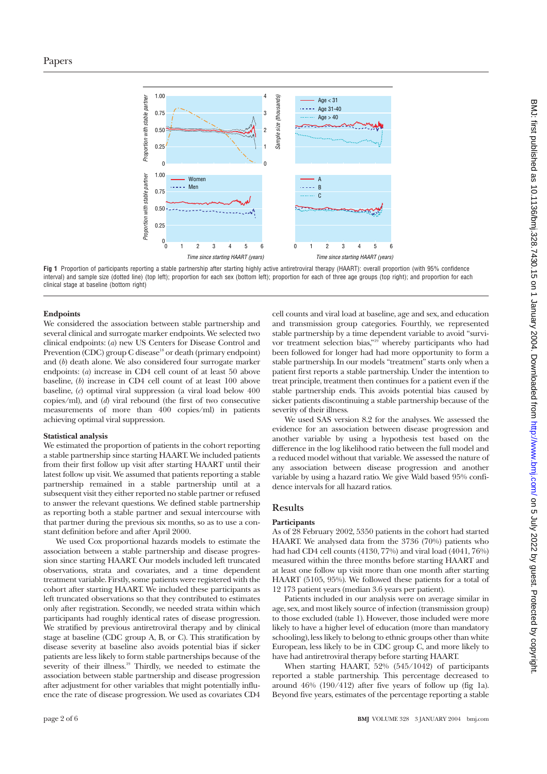

**Fig 1** Proportion of participants reporting a stable partnership after starting highly active antiretroviral therapy (HAART): overall proportion (with 95% confidence interval) and sample size (dotted line) (top left); proportion for each sex (bottom left); proportion for each of three age groups (top right); and proportion for each clinical stage at baseline (bottom right)

#### **Endpoints**

We considered the association between stable partnership and several clinical and surrogate marker endpoints. We selected two clinical endpoints: (*a*) new US Centers for Disease Control and Prevention (CDC) group C disease<sup>18</sup> or death (primary endpoint) and (*b*) death alone. We also considered four surrogate marker endpoints: (*a*) increase in CD4 cell count of at least 50 above baseline, (*b*) increase in CD4 cell count of at least 100 above baseline, (*c*) optimal viral suppression (a viral load below 400 copies/ml), and (*d*) viral rebound (the first of two consecutive measurements of more than 400 copies/ml) in patients achieving optimal viral suppression.

#### **Statistical analysis**

We estimated the proportion of patients in the cohort reporting a stable partnership since starting HAART. We included patients from their first follow up visit after starting HAART until their latest follow up visit. We assumed that patients reporting a stable partnership remained in a stable partnership until at a subsequent visit they either reported no stable partner or refused to answer the relevant questions. We defined stable partnership as reporting both a stable partner and sexual intercourse with that partner during the previous six months, so as to use a constant definition before and after April 2000.

We used Cox proportional hazards models to estimate the association between a stable partnership and disease progression since starting HAART. Our models included left truncated observations, strata and covariates, and a time dependent treatment variable. Firstly, some patients were registered with the cohort after starting HAART. We included these participants as left truncated observations so that they contributed to estimates only after registration. Secondly, we needed strata within which participants had roughly identical rates of disease progression. We stratified by previous antiretroviral therapy and by clinical stage at baseline (CDC group A, B, or C). This stratification by disease severity at baseline also avoids potential bias if sicker patients are less likely to form stable partnerships because of the severity of their illness.<sup>19</sup> Thirdly, we needed to estimate the association between stable partnership and disease progression after adjustment for other variables that might potentially influence the rate of disease progression. We used as covariates CD4 cell counts and viral load at baseline, age and sex, and education and transmission group categories. Fourthly, we represented stable partnership by a time dependent variable to avoid "survivor treatment selection bias,"19 whereby participants who had been followed for longer had had more opportunity to form a stable partnership. In our models "treatment" starts only when a patient first reports a stable partnership. Under the intention to treat principle, treatment then continues for a patient even if the stable partnership ends. This avoids potential bias caused by sicker patients discontinuing a stable partnership because of the severity of their illness.

We used SAS version 8.2 for the analyses. We assessed the evidence for an association between disease progression and another variable by using a hypothesis test based on the difference in the log likelihood ratio between the full model and a reduced model without that variable. We assessed the nature of any association between disease progression and another variable by using a hazard ratio. We give Wald based 95% confidence intervals for all hazard ratios.

# **Results**

#### **Participants**

As of 28 February 2002, 5350 patients in the cohort had started HAART. We analysed data from the 3736 (70%) patients who had had CD4 cell counts (4130, 77%) and viral load (4041, 76%) measured within the three months before starting HAART and at least one follow up visit more than one month after starting HAART (5105, 95%). We followed these patients for a total of 12 173 patient years (median 3.6 years per patient).

Patients included in our analysis were on average similar in age, sex, and most likely source of infection (transmission group) to those excluded (table 1). However, those included were more likely to have a higher level of education (more than mandatory schooling), less likely to belong to ethnic groups other than white European, less likely to be in CDC group C, and more likely to have had antiretroviral therapy before starting HAART.

When starting HAART, 52% (545/1042) of participants reported a stable partnership. This percentage decreased to around 46% (190/412) after five years of follow up (fig 1a). Beyond five years, estimates of the percentage reporting a stable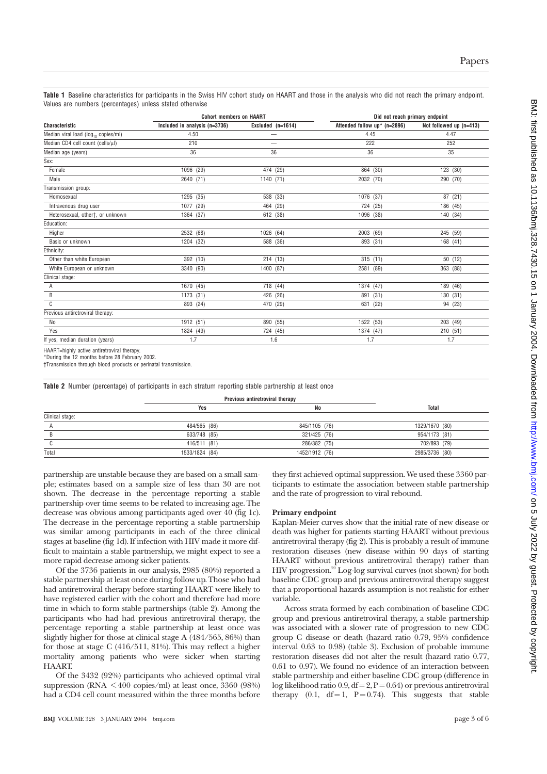**Table 1** Baseline characteristics for participants in the Swiss HIV cohort study on HAART and those in the analysis who did not reach the primary endpoint. Values are numbers (percentages) unless stated otherwise

|                                                 | <b>Cohort members on HAART</b> |                   | Did not reach primary endpoint |                         |
|-------------------------------------------------|--------------------------------|-------------------|--------------------------------|-------------------------|
| <b>Characteristic</b>                           | Included in analysis (n=3736)  | Excluded (n=1614) | Attended follow up* (n=2896)   | Not followed up (n=413) |
| Median viral load (log <sub>10</sub> copies/ml) | 4.50                           |                   | 4.45                           | 4.47                    |
| Median CD4 cell count (cells/µl)                | 210                            | -                 | 222                            | 252                     |
| Median age (years)                              | 36                             | 36                | 36                             | 35                      |
| Sex:                                            |                                |                   |                                |                         |
| Female                                          | 1096 (29)                      | 474 (29)          | 864 (30)                       | 123 (30)                |
| Male                                            | 2640 (71)                      | 1140 (71)         | 2032 (70)                      | 290 (70)                |
| Transmission group:                             |                                |                   |                                |                         |
| Homosexual                                      | 1295 (35)                      | 538 (33)          | 1076 (37)                      | 87 (21)                 |
| Intravenous drug user                           | 1077<br>(29)                   | 464 (29)          | 724 (25)                       | 186 (45)                |
| Heterosexual, other†, or unknown                | 1364 (37)                      | 612 (38)          | 1096 (38)                      | 140 (34)                |
| Education:                                      |                                |                   |                                |                         |
| Higher                                          | 2532 (68)                      | 1026 (64)         | 2003 (69)                      | 245 (59)                |
| Basic or unknown                                | 1204 (32)                      | 588 (36)          | 893 (31)                       | 168 (41)                |
| Ethnicity:                                      |                                |                   |                                |                         |
| Other than white European                       | 392 (10)                       | 214 (13)          | 315(11)                        | 50 (12)                 |
| White European or unknown                       | 3340 (90)                      | 1400 (87)         | 2581 (89)                      | 363 (88)                |
| Clinical stage:                                 |                                |                   |                                |                         |
| Α                                               | 1670 (45)                      | 718 (44)          | 1374 (47)                      | 189 (46)                |
| B                                               | 1173 (31)                      | 426 (26)          | 891 (31)                       | 130 (31)                |
| C                                               | 893 (24)                       | 470 (29)          | 631 (22)                       | 94 (23)                 |
| Previous antiretroviral therapy:                |                                |                   |                                |                         |
| No                                              | 1912 (51)                      | 890 (55)          | 1522 (53)                      | 203 (49)                |
| Yes                                             | 1824 (49)                      | 724 (45)          | 1374 (47)                      | 210(51)                 |
| If yes, median duration (years)                 | 1.7                            | 1.6               | 1.7                            | 1.7                     |

HAART=highly active antiretroviral therapy.

\*During the 12 months before 28 February 2002.

†Transmission through blood products or perinatal transmission.

**Table 2** Number (percentage) of participants in each stratum reporting stable partnership at least once

**Previous antiretroviral therapy**

| Clinical stage:                                             |
|-------------------------------------------------------------|
|                                                             |
| 484/565 (86)<br>845/1105 (76)<br>1329/1670 (80)             |
| 954/1173 (81)<br>633/748 (85)<br>321/425 (76)               |
| 702/893 (79)<br>416/511 (81)<br>286/382 (75)                |
| Total<br>1533/1824 (84)<br>2985/3736 (80)<br>1452/1912 (76) |

partnership are unstable because they are based on a small sample; estimates based on a sample size of less than 30 are not shown. The decrease in the percentage reporting a stable partnership over time seems to be related to increasing age. The decrease was obvious among participants aged over 40 (fig 1c). The decrease in the percentage reporting a stable partnership was similar among participants in each of the three clinical stages at baseline (fig 1d). If infection with HIV made it more difficult to maintain a stable partnership, we might expect to see a more rapid decrease among sicker patients.

Of the 3736 patients in our analysis, 2985 (80%) reported a stable partnership at least once during follow up. Those who had had antiretroviral therapy before starting HAART were likely to have registered earlier with the cohort and therefore had more time in which to form stable partnerships (table 2). Among the participants who had had previous antiretroviral therapy, the percentage reporting a stable partnership at least once was slightly higher for those at clinical stage A (484/565, 86%) than for those at stage C (416/511, 81%). This may reflect a higher mortality among patients who were sicker when starting HAART.

Of the 3432 (92%) participants who achieved optimal viral suppression (RNA  $\leq 400$  copies/ml) at least once, 3360 (98%) had a CD4 cell count measured within the three months before they first achieved optimal suppression. We used these 3360 participants to estimate the association between stable partnership and the rate of progression to viral rebound.

# **Primary endpoint**

Kaplan-Meier curves show that the initial rate of new disease or death was higher for patients starting HAART without previous antiretroviral therapy (fig 2). This is probably a result of immune restoration diseases (new disease within 90 days of starting HAART without previous antiretroviral therapy) rather than  $HIV$  progression.<sup>20</sup> Log-log survival curves (not shown) for both baseline CDC group and previous antiretroviral therapy suggest that a proportional hazards assumption is not realistic for either variable.

Across strata formed by each combination of baseline CDC group and previous antiretroviral therapy, a stable partnership was associated with a slower rate of progression to new CDC group C disease or death (hazard ratio 0.79, 95% confidence interval 0.63 to 0.98) (table 3). Exclusion of probable immune restoration diseases did not alter the result (hazard ratio 0.77, 0.61 to 0.97). We found no evidence of an interaction between stable partnership and either baseline CDC group (difference in log likelihood ratio 0.9, df = 2, P = 0.64) or previous antiretroviral therapy (0.1,  $df = 1$ ,  $P = 0.74$ ). This suggests that stable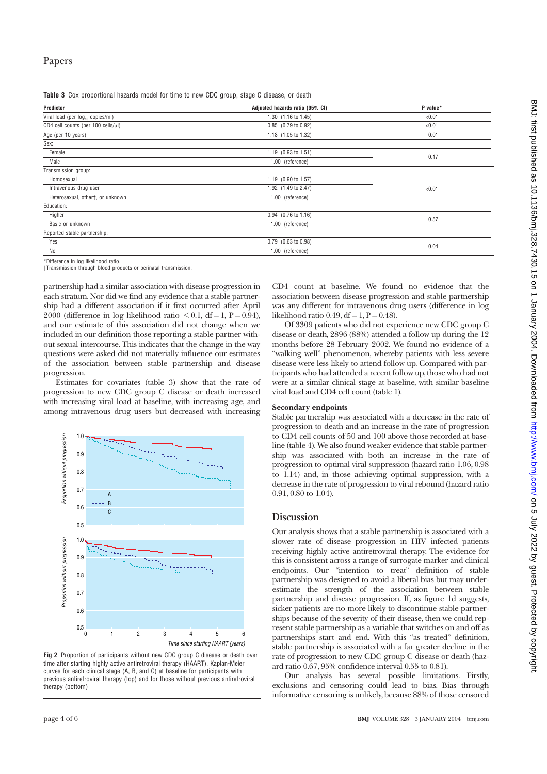**Table 3** Cox proportional hazards model for time to new CDC group, stage C disease, or death

| Predictor                                    | Adjusted hazards ratio (95% CI) | P value* |  |
|----------------------------------------------|---------------------------------|----------|--|
| Viral load (per log <sub>10</sub> copies/ml) | 1.30 (1.16 to 1.45)             | < 0.01   |  |
| CD4 cell counts (per $100$ cells/ $\mu$ l)   | 0.85 (0.79 to 0.92)             | < 0.01   |  |
| Age (per 10 years)                           | 1.18 (1.05 to 1.32)             | 0.01     |  |
| Sex:                                         |                                 |          |  |
| Female                                       | 1.19 (0.93 to 1.51)             |          |  |
| Male                                         | 1.00 (reference)                | 0.17     |  |
| Transmission group:                          |                                 |          |  |
| Homosexual                                   | 1.19 (0.90 to 1.57)             |          |  |
| Intravenous drug user                        | 1.92 (1.49 to 2.47)             | < 0.01   |  |
| Heterosexual, other†, or unknown             | 1.00 (reference)                |          |  |
| Education:                                   |                                 |          |  |
| Higher                                       | 0.94 (0.76 to 1.16)             |          |  |
| Basic or unknown                             | 1.00 (reference)                | 0.57     |  |
| Reported stable partnership:                 |                                 |          |  |
| Yes                                          | 0.79 (0.63 to 0.98)             | 0.04     |  |
| No                                           | 1.00 (reference)                |          |  |

\*Difference in log likelihood ratio.

†Transmission through blood products or perinatal transmission.

partnership had a similar association with disease progression in each stratum. Nor did we find any evidence that a stable partnership had a different association if it first occurred after April 2000 (difference in log likelihood ratio  $\leq 0.1$ , df = 1, P = 0.94), and our estimate of this association did not change when we included in our definition those reporting a stable partner without sexual intercourse. This indicates that the change in the way questions were asked did not materially influence our estimates of the association between stable partnership and disease progression.

Estimates for covariates (table 3) show that the rate of progression to new CDC group C disease or death increased with increasing viral load at baseline, with increasing age, and among intravenous drug users but decreased with increasing



**Fig 2** Proportion of participants without new CDC group C disease or death over time after starting highly active antiretroviral therapy (HAART). Kaplan-Meier curves for each clinical stage (A, B, and C) at baseline for participants with previous antiretroviral therapy (top) and for those without previous antiretroviral therapy (bottom)

CD4 count at baseline. We found no evidence that the association between disease progression and stable partnership was any different for intravenous drug users (difference in log likelihood ratio 0.49, df = 1,  $P = 0.48$ ).

Of 3309 patients who did not experience new CDC group C disease or death, 2896 (88%) attended a follow up during the 12 months before 28 February 2002. We found no evidence of a "walking well" phenomenon, whereby patients with less severe disease were less likely to attend follow up. Compared with participants who had attended a recent follow up, those who had not were at a similar clinical stage at baseline, with similar baseline viral load and CD4 cell count (table 1).

#### **Secondary endpoints**

Stable partnership was associated with a decrease in the rate of progression to death and an increase in the rate of progression to CD4 cell counts of 50 and 100 above those recorded at baseline (table 4). We also found weaker evidence that stable partnership was associated with both an increase in the rate of progression to optimal viral suppression (hazard ratio 1.06, 0.98 to 1.14) and, in those achieving optimal suppression, with a decrease in the rate of progression to viral rebound (hazard ratio 0.91, 0.80 to 1.04).

# **Discussion**

Our analysis shows that a stable partnership is associated with a slower rate of disease progression in HIV infected patients receiving highly active antiretroviral therapy. The evidence for this is consistent across a range of surrogate marker and clinical endpoints. Our "intention to treat" definition of stable partnership was designed to avoid a liberal bias but may underestimate the strength of the association between stable partnership and disease progression. If, as figure 1d suggests, sicker patients are no more likely to discontinue stable partnerships because of the severity of their disease, then we could represent stable partnership as a variable that switches on and off as partnerships start and end. With this "as treated" definition, stable partnership is associated with a far greater decline in the rate of progression to new CDC group C disease or death (hazard ratio 0.67, 95% confidence interval 0.55 to 0.81).

Our analysis has several possible limitations. Firstly, exclusions and censoring could lead to bias. Bias through informative censoring is unlikely, because 88% of those censored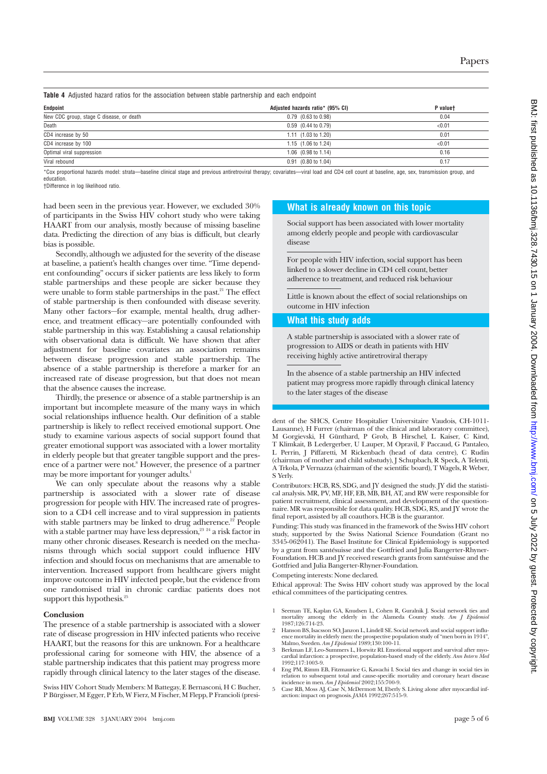**Table 4** Adjusted hazard ratios for the association between stable partnership and each endpoint

| Endpoint                                 | Adiusted hazards ratio* (95% CI) | P valuet |
|------------------------------------------|----------------------------------|----------|
| New CDC group, stage C disease, or death | $0.79$ $(0.63 \text{ to } 0.98)$ | 0.04     |
| Death                                    | 0.59 (0.44 to 0.79)              | < 0.01   |
| CD4 increase by 50                       | $1.11$ $(1.03 \text{ to } 1.20)$ | 0.01     |
| CD4 increase by 100                      | 1.15 (1.06 to 1.24)              | < 0.01   |
| Optimal viral suppression                | $1.06$ $(0.98 \text{ to } 1.14)$ | 0.16     |
| Viral rebound                            | $0.91$ $(0.80 \text{ to } 1.04)$ | 0.17     |

\*Cox proportional hazards model: strata—baseline clinical stage and previous antiretroviral therapy; covariates—viral load and CD4 cell count at baseline, age, sex, transmission group, and education.

†Difference in log likelihood ratio.

had been seen in the previous year. However, we excluded 30% of participants in the Swiss HIV cohort study who were taking HAART from our analysis, mostly because of missing baseline data. Predicting the direction of any bias is difficult, but clearly bias is possible.

Secondly, although we adjusted for the severity of the disease at baseline, a patient's health changes over time. "Time dependent confounding" occurs if sicker patients are less likely to form stable partnerships and these people are sicker because they were unable to form stable partnerships in the past.<sup>21</sup> The effect of stable partnership is then confounded with disease severity. Many other factors—for example, mental health, drug adherence, and treatment efficacy—are potentially confounded with stable partnership in this way. Establishing a causal relationship with observational data is difficult. We have shown that after adjustment for baseline covariates an association remains between disease progression and stable partnership. The absence of a stable partnership is therefore a marker for an increased rate of disease progression, but that does not mean that the absence causes the increase.

Thirdly, the presence or absence of a stable partnership is an important but incomplete measure of the many ways in which social relationships influence health. Our definition of a stable partnership is likely to reflect received emotional support. One study to examine various aspects of social support found that greater emotional support was associated with a lower mortality in elderly people but that greater tangible support and the presence of a partner were not.<sup>8</sup> However, the presence of a partner may be more important for younger adults.<sup>1</sup>

We can only speculate about the reasons why a stable partnership is associated with a slower rate of disease progression for people with HIV. The increased rate of progression to a CD4 cell increase and to viral suppression in patients with stable partners may be linked to drug adherence.<sup>22</sup> People with a stable partner may have less depression,<sup>23 24</sup> a risk factor in many other chronic diseases. Research is needed on the mechanisms through which social support could influence HIV infection and should focus on mechanisms that are amenable to intervention. Increased support from healthcare givers might improve outcome in HIV infected people, but the evidence from one randomised trial in chronic cardiac patients does not support this hypothesis.<sup>25</sup>

#### **Conclusion**

The presence of a stable partnership is associated with a slower rate of disease progression in HIV infected patients who receive HAART, but the reasons for this are unknown. For a healthcare professional caring for someone with HIV, the absence of a stable partnership indicates that this patient may progress more rapidly through clinical latency to the later stages of the disease.

Swiss HIV Cohort Study Members: M Battegay, E Bernasconi, H C Bucher, P Bürgisser, M Egger, P Erb, W Fierz, M Fischer, M Flepp, P Francioli (presi-

#### **What is already known on this topic**

Social support has been associated with lower mortality among elderly people and people with cardiovascular disease

For people with HIV infection, social support has been linked to a slower decline in CD4 cell count, better adherence to treatment, and reduced risk behaviour

Little is known about the effect of social relationships on outcome in HIV infection

#### **What this study adds**

A stable partnership is associated with a slower rate of progression to AIDS or death in patients with HIV receiving highly active antiretroviral therapy

In the absence of a stable partnership an HIV infected patient may progress more rapidly through clinical latency to the later stages of the disease

dent of the SHCS, Centre Hospitalier Universitaire Vaudois, CH-1011- Lausanne), H Furrer (chairman of the clinical and laboratory committee), M Gorgievski, H Günthard, P Grob, B Hirschel, L Kaiser, C Kind, T Klimkait, B Ledergerber, U Lauper, M Opravil, F Paccaud, G Pantaleo, L Perrin, J Piffaretti, M Rickenbach (head of data centre), C Rudin (chairman of mother and child substudy), J Schupbach, R Speck, A Telenti, A Trkola, P Vernazza (chairman of the scientific board), T Wagels, R Weber, S Yerly.

Contributors: HCB, RS, SDG, and JY designed the study. JY did the statistical analysis. MR, PV, MF, HF, EB, MB, BH, AT, and RW were responsible for patient recruitment, clinical assessment, and development of the questionnaire. MR was responsible for data quality. HCB, SDG, RS, and JY wrote the final report, assisted by all coauthors. HCB is the guarantor.

Funding: This study was financed in the framework of the Swiss HIV cohort study, supported by the Swiss National Science Foundation (Grant no 3345-062041). The Basel Institute for Clinical Epidemiology is supported by a grant from santésuisse and the Gottfried and Julia Bangerter-Rhyner-Foundation. HCB and JY received research grants from santésuisse and the Gottfried and Julia Bangerter-Rhyner-Foundation.

Competing interests: None declared.

Ethical approval: The Swiss HIV cohort study was approved by the local ethical committees of the participating centres.

- 1 Seeman TE, Kaplan GA, Knudsen L, Cohen R, Guralnik J. Social network ties and mortality among the elderly in the Alameda County study. *Am J Epidemiol* 1987;126:714-23.
- 2 Hanson BS, Isacsson SO, Janzon L, Lindell SE. Social network and social support influence mortality in elderly men: the prospective population study of "men born in 1914", Malmo, Sweden. *Am J Epidemiol* 1989;130:100-11.
- 3 Berkman LF, Leo-Summers L, Horwitz RI. Emotional support and survival after myo-cardial infarction: a prospective, population-based study of the elderly. *Ann Intern Med* 1992;117:1003-9.
- 4 Eng PM, Rimm EB, Fitzmaurice G, Kawachi I. Social ties and change in social ties in relation to subsequent total and cause-specific mortality and coronary heart disease<br>incidence in men. *Am J Epidemiol* 2002;155:700-9.<br>5 Case RB, Moss AJ, Case N, McDermott M, Eberly S. Living alone after myocardial inf-
- arction: impact on prognosis. *JAMA* 1992;267:515-9.